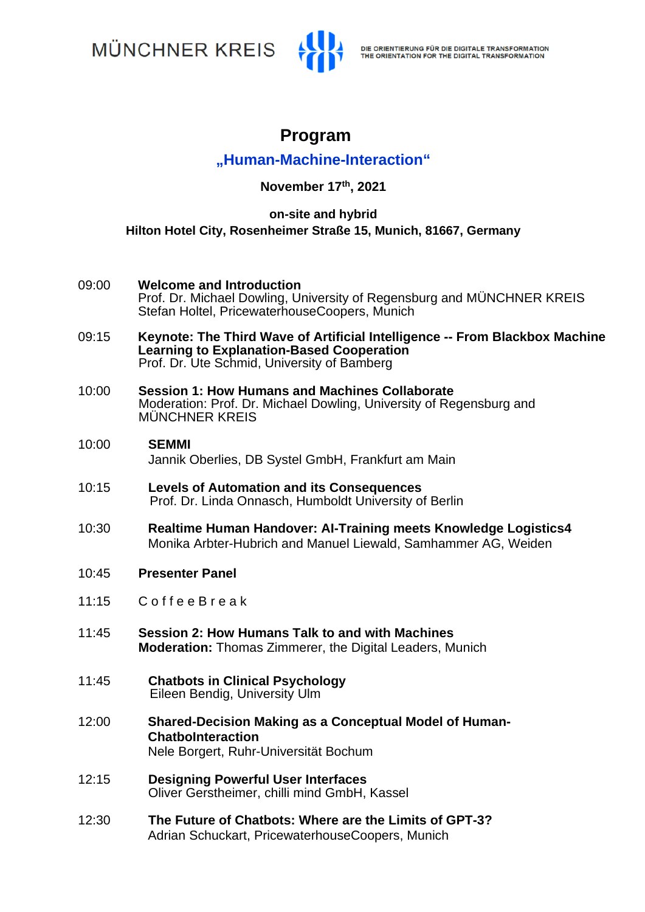**MÜNCHNER KREIS** 



# **Program**

## **"Human-Machine-Interaction"**

**November 17th, 2021**

### **on-site and hybrid Hilton Hotel City, Rosenheimer Straße 15, Munich, 81667, Germany**

- 09:00 **Welcome and Introduction** Prof. Dr. Michael Dowling, University of Regensburg and MÜNCHNER KREIS Stefan Holtel, PricewaterhouseCoopers, Munich
- 09:15 **Keynote: The Third Wave of Artificial Intelligence -- From Blackbox Machine Learning to Explanation-Based Cooperation** Prof. Dr. Ute Schmid, University of Bamberg
- 10:00 **Session 1: How Humans and Machines Collaborate**  Moderation: Prof. Dr. Michael Dowling, University of Regensburg and MÜNCHNER KREIS

#### 10:00 **SEMMI** Jannik Oberlies, DB Systel GmbH, Frankfurt am Main

- 10:15 **Levels of Automation and its Consequences** Prof. Dr. Linda Onnasch, Humboldt University of Berlin
- 10:30 **Realtime Human Handover: AI-Training meets Knowledge Logistics4**  Monika Arbter-Hubrich and Manuel Liewald, Samhammer AG, Weiden
- 10:45 **Presenter Panel**
- 11:15 C o f f e e B r e a k
- 11:45 **Session 2: How Humans Talk to and with Machines Moderation:** Thomas Zimmerer, the Digital Leaders, Munich
- 11:45 **Chatbots in Clinical Psychology** Eileen Bendig, University Ulm
- 12:00 **Shared-Decision Making as a Conceptual Model of Human-ChatboInteraction** Nele Borgert, Ruhr-Universität Bochum
- 12:15 **Designing Powerful User Interfaces** Oliver Gerstheimer, chilli mind GmbH, Kassel
- 12:30 **The Future of Chatbots: Where are the Limits of GPT-3?** Adrian Schuckart, PricewaterhouseCoopers, Munich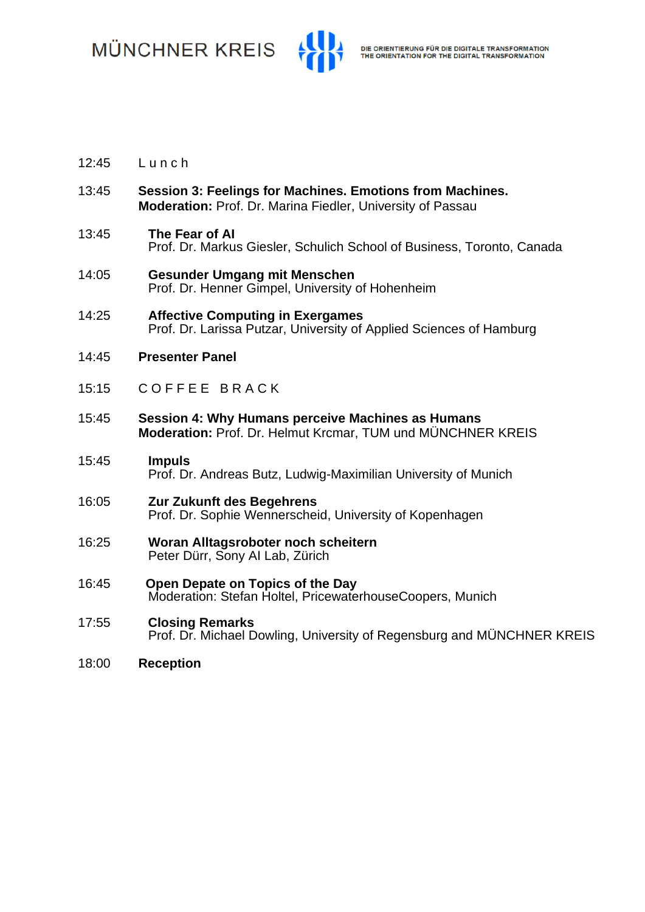**MÜNCHNER KREIS** 



- 12:45 L u n c h
- 13:45 **Session 3: Feelings for Machines. Emotions from Machines. Moderation:** Prof. Dr. Marina Fiedler, University of Passau
- 13:45 **The Fear of AI** Prof. Dr. Markus Giesler, Schulich School of Business, Toronto, Canada
- 14:05 **Gesunder Umgang mit Menschen** Prof. Dr. Henner Gimpel, University of Hohenheim
- 14:25 **Affective Computing in Exergames** Prof. Dr. Larissa Putzar, University of Applied Sciences of Hamburg
- 14:45 **Presenter Panel**
- 15:15 COFFEE BRACK
- 15:45 **Session 4: Why Humans perceive Machines as Humans Moderation:** Prof. Dr. Helmut Krcmar, TUM und MÜNCHNER KREIS
- 15:45 **Impuls** Prof. Dr. Andreas Butz, Ludwig-Maximilian University of Munich
- 16:05 **Zur Zukunft des Begehrens** Prof. Dr. Sophie Wennerscheid, University of Kopenhagen
- 16:25 **Woran Alltagsroboter noch scheitern** Peter Dürr, Sony AI Lab, Zürich
- 16:45 **Open Depate on Topics of the Day** Moderation: Stefan Holtel, PricewaterhouseCoopers, Munich
- 17:55 **Closing Remarks** Prof. Dr. Michael Dowling, University of Regensburg and MÜNCHNER KREIS
- 18:00 **Reception**